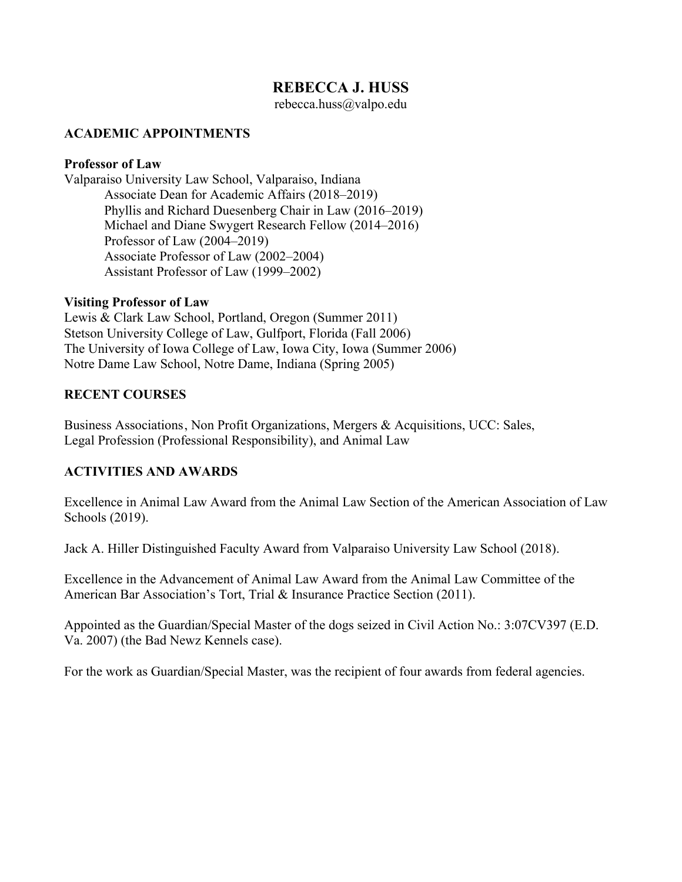# **REBECCA J. HUSS**

rebecca.huss@valpo.edu

### **ACADEMIC APPOINTMENTS**

#### **Professor of Law**

Valparaiso University Law School, Valparaiso, Indiana Associate Dean for Academic Affairs (2018–2019) Phyllis and Richard Duesenberg Chair in Law (2016–2019) Michael and Diane Swygert Research Fellow (2014–2016) Professor of Law (2004–2019) Associate Professor of Law (2002–2004) Assistant Professor of Law (1999–2002)

#### **Visiting Professor of Law**

Lewis & Clark Law School, Portland, Oregon (Summer 2011) Stetson University College of Law, Gulfport, Florida (Fall 2006) The University of Iowa College of Law, Iowa City, Iowa (Summer 2006) Notre Dame Law School, Notre Dame, Indiana (Spring 2005)

#### **RECENT COURSES**

Business Associations, Non Profit Organizations, Mergers & Acquisitions, UCC: Sales, Legal Profession (Professional Responsibility), and Animal Law

# **ACTIVITIES AND AWARDS**

Excellence in Animal Law Award from the Animal Law Section of the American Association of Law Schools (2019).

Jack A. Hiller Distinguished Faculty Award from Valparaiso University Law School (2018).

Excellence in the Advancement of Animal Law Award from the Animal Law Committee of the American Bar Association's Tort, Trial & Insurance Practice Section (2011).

Appointed as the Guardian/Special Master of the dogs seized in Civil Action No.: 3:07CV397 (E.D. Va. 2007) (the Bad Newz Kennels case).

For the work as Guardian/Special Master, was the recipient of four awards from federal agencies.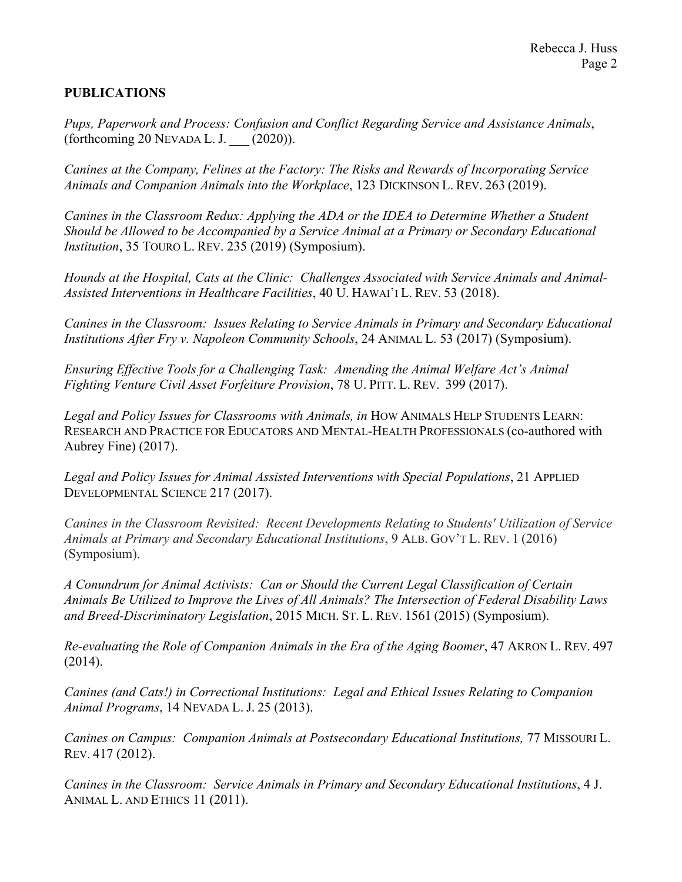# **PUBLICATIONS**

*Pups, Paperwork and Process: Confusion and Conflict Regarding Service and Assistance Animals*,  $(for the coming 20 NEVADA L. J.$   $(2020)$ ).

*Canines at the Company, Felines at the Factory: The Risks and Rewards of Incorporating Service Animals and Companion Animals into the Workplace*, 123 DICKINSON L. REV. 263 (2019).

*Canines in the Classroom Redux: Applying the ADA or the IDEA to Determine Whether a Student Should be Allowed to be Accompanied by a Service Animal at a Primary or Secondary Educational Institution*, 35 TOURO L. REV. 235 (2019) (Symposium).

*Hounds at the Hospital, Cats at the Clinic: Challenges Associated with Service Animals and Animal-Assisted Interventions in Healthcare Facilities*, 40 U. HAWAI'I L. REV. 53 (2018).

*Canines in the Classroom: Issues Relating to Service Animals in Primary and Secondary Educational Institutions After Fry v. Napoleon Community Schools*, 24 ANIMAL L. 53 (2017) (Symposium).

*Ensuring Effective Tools for a Challenging Task: Amending the Animal Welfare Act's Animal Fighting Venture Civil Asset Forfeiture Provision*, 78 U. PITT. L. REV. 399 (2017).

Legal and Policy Issues for Classrooms with Animals, in HOW ANIMALS HELP STUDENTS LEARN: RESEARCH AND PRACTICE FOR EDUCATORS AND MENTAL-HEALTH PROFESSIONALS (co-authored with Aubrey Fine) (2017).

*Legal and Policy Issues for Animal Assisted Interventions with Special Populations*, 21 APPLIED DEVELOPMENTAL SCIENCE 217 (2017).

*Canines in the Classroom Revisited: Recent Developments Relating to Students' Utilization of Service Animals at Primary and Secondary Educational Institutions*, 9 ALB. GOV'T L. REV. 1 (2016) (Symposium).

*A Conundrum for Animal Activists: Can or Should the Current Legal Classification of Certain Animals Be Utilized to Improve the Lives of All Animals? The Intersection of Federal Disability Laws and Breed-Discriminatory Legislation*, 2015 MICH. ST. L. REV. 1561 (2015) (Symposium).

*Re-evaluating the Role of Companion Animals in the Era of the Aging Boomer*, 47 AKRON L. REV. 497 (2014).

*Canines (and Cats!) in Correctional Institutions: Legal and Ethical Issues Relating to Companion Animal Programs*, 14 NEVADA L. J. 25 (2013).

*Canines on Campus: Companion Animals at Postsecondary Educational Institutions,* 77 MISSOURI L. REV. 417 (2012).

*Canines in the Classroom: Service Animals in Primary and Secondary Educational Institutions*, 4 J. ANIMAL L. AND ETHICS 11 (2011).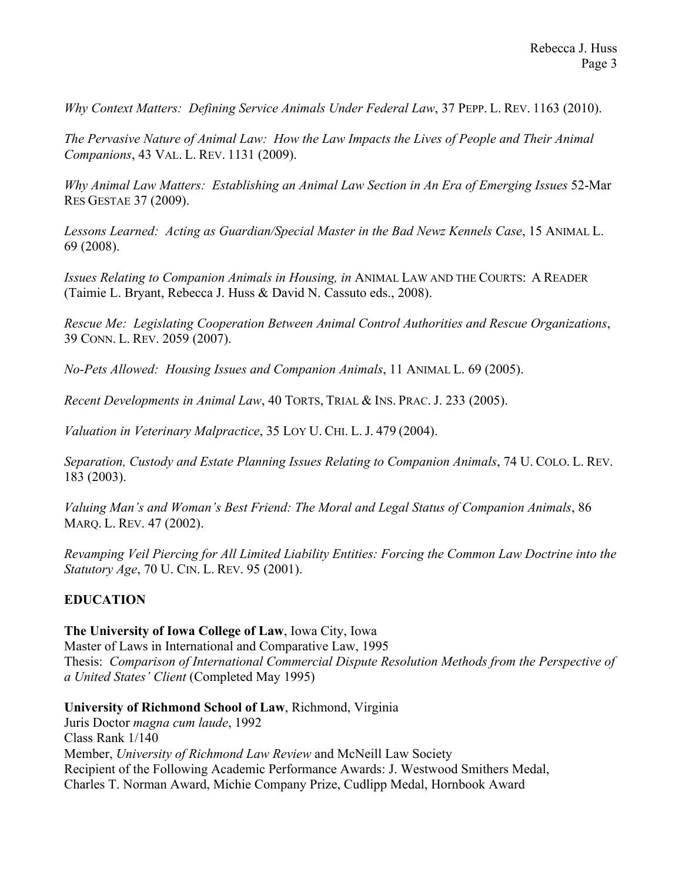*Why Context Matters: Defining Service Animals Under Federal Law*, 37 PEPP. L. REV. 1163 (2010).

*The Pervasive Nature of Animal Law: How the Law Impacts the Lives of People and Their Animal Companions*, 43 VAL. L. REV. 1131 (2009).

*Why Animal Law Matters: Establishing an Animal Law Section in An Era of Emerging Issues* 52-Mar RES GESTAE 37 (2009).

*Lessons Learned: Acting as Guardian/Special Master in the Bad Newz Kennels Case*, 15 ANIMAL L. 69 (2008).

*Issues Relating to Companion Animals in Housing, in* ANIMAL LAW AND THE COURTS: A READER (Taimie L. Bryant, Rebecca J. Huss & David N. Cassuto eds., 2008).

*Rescue Me: Legislating Cooperation Between Animal Control Authorities and Rescue Organizations*, 39 CONN. L. REV. 2059 (2007).

*No-Pets Allowed: Housing Issues and Companion Animals*, 11 ANIMAL L. 69 (2005).

*Recent Developments in Animal Law*, 40 TORTS, TRIAL & INS. PRAC. J. 233 (2005).

*Valuation in Veterinary Malpractice*, 35 LOY U. CHI. L. J. 479 (2004).

*Separation, Custody and Estate Planning Issues Relating to Companion Animals*, 74 U. COLO. L. REV. 183 (2003).

*Valuing Man's and Woman's Best Friend: The Moral and Legal Status of Companion Animals*, 86 MARQ. L. REV. 47 (2002).

*Revamping Veil Piercing for All Limited Liability Entities: Forcing the Common Law Doctrine into the Statutory Age*, 70 U. CIN. L. REV. 95 (2001).

# **EDUCATION**

**The University of Iowa College of Law**, Iowa City, Iowa

Master of Laws in International and Comparative Law, 1995 Thesis: *Comparison of International Commercial Dispute Resolution Methods from the Perspective of a United States' Client* (Completed May 1995)

**University of Richmond School of Law**, Richmond, Virginia

Juris Doctor *magna cum laude*, 1992 Class Rank 1/140 Member, *University of Richmond Law Review* and McNeill Law Society Recipient of the Following Academic Performance Awards: J. Westwood Smithers Medal, Charles T. Norman Award, Michie Company Prize, Cudlipp Medal, Hornbook Award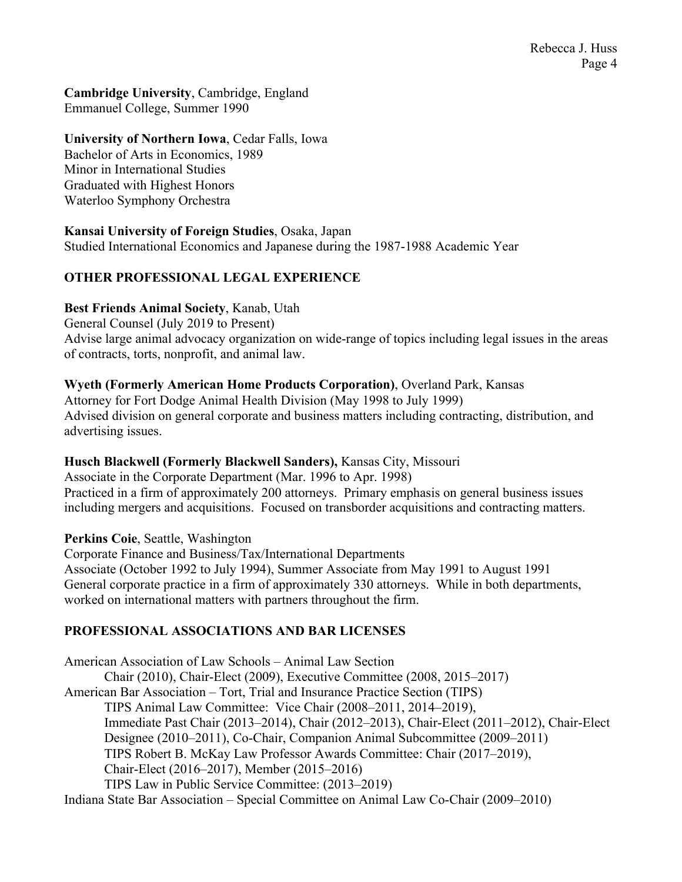**Cambridge University**, Cambridge, England Emmanuel College, Summer 1990

**University of Northern Iowa**, Cedar Falls, Iowa Bachelor of Arts in Economics, 1989 Minor in International Studies Graduated with Highest Honors Waterloo Symphony Orchestra

**Kansai University of Foreign Studies**, Osaka, Japan Studied International Economics and Japanese during the 1987-1988 Academic Year

#### **OTHER PROFESSIONAL LEGAL EXPERIENCE**

#### **Best Friends Animal Society**, Kanab, Utah

General Counsel (July 2019 to Present) Advise large animal advocacy organization on wide-range of topics including legal issues in the areas of contracts, torts, nonprofit, and animal law.

#### **Wyeth (Formerly American Home Products Corporation)**, Overland Park, Kansas

Attorney for Fort Dodge Animal Health Division (May 1998 to July 1999) Advised division on general corporate and business matters including contracting, distribution, and advertising issues.

#### **Husch Blackwell (Formerly Blackwell Sanders),** Kansas City, Missouri

Associate in the Corporate Department (Mar. 1996 to Apr. 1998) Practiced in a firm of approximately 200 attorneys. Primary emphasis on general business issues including mergers and acquisitions. Focused on transborder acquisitions and contracting matters.

**Perkins Coie**, Seattle, Washington

Corporate Finance and Business/Tax/International Departments Associate (October 1992 to July 1994), Summer Associate from May 1991 to August 1991 General corporate practice in a firm of approximately 330 attorneys. While in both departments, worked on international matters with partners throughout the firm.

# **PROFESSIONAL ASSOCIATIONS AND BAR LICENSES**

American Association of Law Schools – Animal Law Section Chair (2010), Chair-Elect (2009), Executive Committee (2008, 2015–2017) American Bar Association – Tort, Trial and Insurance Practice Section (TIPS) TIPS Animal Law Committee: Vice Chair (2008–2011, 2014–2019), Immediate Past Chair (2013–2014), Chair (2012–2013), Chair-Elect (2011–2012), Chair-Elect Designee (2010–2011), Co-Chair, Companion Animal Subcommittee (2009–2011) TIPS Robert B. McKay Law Professor Awards Committee: Chair (2017–2019), Chair-Elect (2016–2017), Member (2015–2016) TIPS Law in Public Service Committee: (2013–2019) Indiana State Bar Association – Special Committee on Animal Law Co-Chair (2009–2010)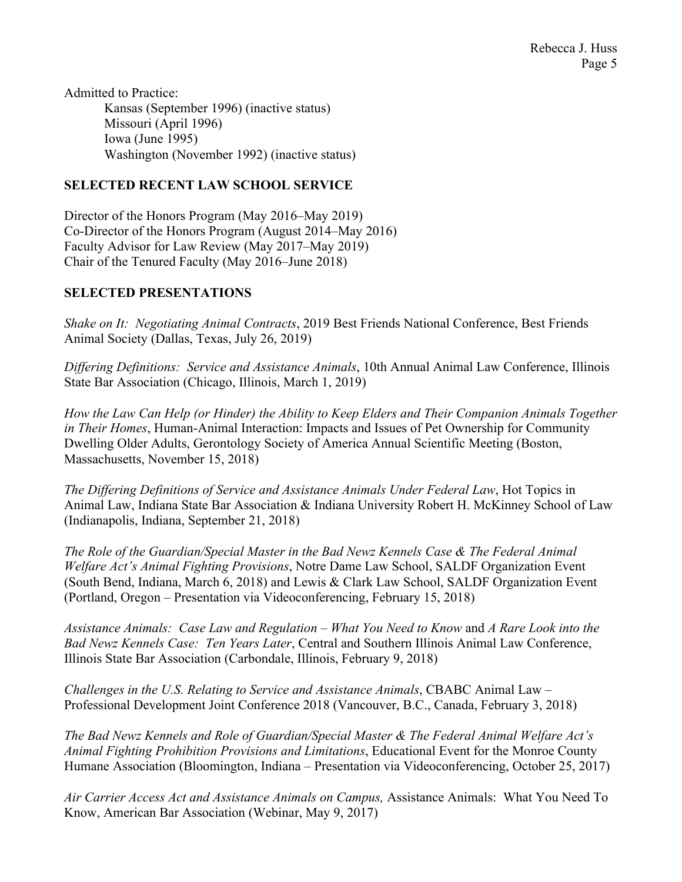Admitted to Practice: Kansas (September 1996) (inactive status) Missouri (April 1996) Iowa (June 1995) Washington (November 1992) (inactive status)

# **SELECTED RECENT LAW SCHOOL SERVICE**

Director of the Honors Program (May 2016–May 2019) Co-Director of the Honors Program (August 2014–May 2016) Faculty Advisor for Law Review (May 2017–May 2019) Chair of the Tenured Faculty (May 2016–June 2018)

# **SELECTED PRESENTATIONS**

*Shake on It: Negotiating Animal Contracts*, 2019 Best Friends National Conference, Best Friends Animal Society (Dallas, Texas, July 26, 2019)

*Differing Definitions: Service and Assistance Animals*, 10th Annual Animal Law Conference, Illinois State Bar Association (Chicago, Illinois, March 1, 2019)

*How the Law Can Help (or Hinder) the Ability to Keep Elders and Their Companion Animals Together in Their Homes*, Human-Animal Interaction: Impacts and Issues of Pet Ownership for Community Dwelling Older Adults, Gerontology Society of America Annual Scientific Meeting (Boston, Massachusetts, November 15, 2018)

*The Differing Definitions of Service and Assistance Animals Under Federal Law*, Hot Topics in Animal Law, Indiana State Bar Association & Indiana University Robert H. McKinney School of Law (Indianapolis, Indiana, September 21, 2018)

*The Role of the Guardian/Special Master in the Bad Newz Kennels Case & The Federal Animal Welfare Act's Animal Fighting Provisions*, Notre Dame Law School, SALDF Organization Event (South Bend, Indiana, March 6, 2018) and Lewis & Clark Law School, SALDF Organization Event (Portland, Oregon – Presentation via Videoconferencing, February 15, 2018)

*Assistance Animals: Case Law and Regulation – What You Need to Know* and *A Rare Look into the Bad Newz Kennels Case: Ten Years Later*, Central and Southern Illinois Animal Law Conference, Illinois State Bar Association (Carbondale, Illinois, February 9, 2018)

*Challenges in the U.S. Relating to Service and Assistance Animals*, CBABC Animal Law – Professional Development Joint Conference 2018 (Vancouver, B.C., Canada, February 3, 2018)

*The Bad Newz Kennels and Role of Guardian/Special Master & The Federal Animal Welfare Act's Animal Fighting Prohibition Provisions and Limitations*, Educational Event for the Monroe County Humane Association (Bloomington, Indiana – Presentation via Videoconferencing, October 25, 2017)

*Air Carrier Access Act and Assistance Animals on Campus,* Assistance Animals: What You Need To Know, American Bar Association (Webinar, May 9, 2017)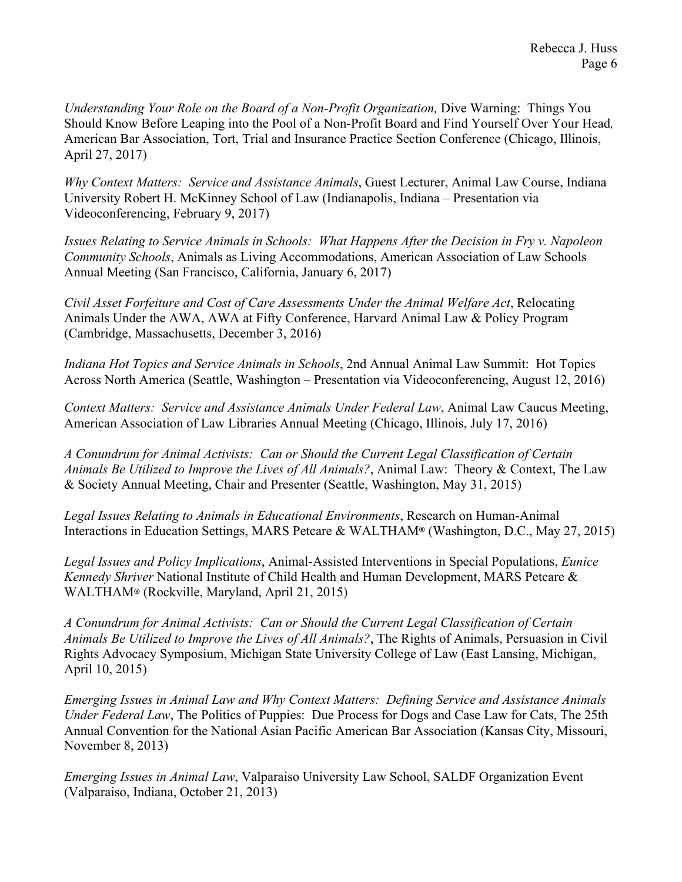*Understanding Your Role on the Board of a Non-Profit Organization,* Dive Warning: Things You Should Know Before Leaping into the Pool of a Non-Profit Board and Find Yourself Over Your Head*,*  American Bar Association, Tort, Trial and Insurance Practice Section Conference (Chicago, Illinois, April 27, 2017)

*Why Context Matters: Service and Assistance Animals*, Guest Lecturer, Animal Law Course, Indiana University Robert H. McKinney School of Law (Indianapolis, Indiana – Presentation via Videoconferencing, February 9, 2017)

*Issues Relating to Service Animals in Schools: What Happens After the Decision in Fry v. Napoleon Community Schools*, Animals as Living Accommodations, American Association of Law Schools Annual Meeting (San Francisco, California, January 6, 2017)

*Civil Asset Forfeiture and Cost of Care Assessments Under the Animal Welfare Act*, Relocating Animals Under the AWA, AWA at Fifty Conference, Harvard Animal Law & Policy Program (Cambridge, Massachusetts, December 3, 2016)

*Indiana Hot Topics and Service Animals in Schools*, 2nd Annual Animal Law Summit: Hot Topics Across North America (Seattle, Washington – Presentation via Videoconferencing, August 12, 2016)

*Context Matters: Service and Assistance Animals Under Federal Law*, Animal Law Caucus Meeting, American Association of Law Libraries Annual Meeting (Chicago, Illinois, July 17, 2016)

*A Conundrum for Animal Activists: Can or Should the Current Legal Classification of Certain Animals Be Utilized to Improve the Lives of All Animals?*, Animal Law: Theory & Context, The Law & Society Annual Meeting, Chair and Presenter (Seattle, Washington, May 31, 2015)

*Legal Issues Relating to Animals in Educational Environments*, Research on Human-Animal Interactions in Education Settings, MARS Petcare & WALTHAM**®** (Washington, D.C., May 27, 2015)

*Legal Issues and Policy Implications*, Animal-Assisted Interventions in Special Populations, *Eunice Kennedy Shriver* National Institute of Child Health and Human Development, MARS Petcare & WALTHAM**®** (Rockville, Maryland, April 21, 2015)

*A Conundrum for Animal Activists: Can or Should the Current Legal Classification of Certain Animals Be Utilized to Improve the Lives of All Animals?*, The Rights of Animals, Persuasion in Civil Rights Advocacy Symposium, Michigan State University College of Law (East Lansing, Michigan, April 10, 2015)

*Emerging Issues in Animal Law and Why Context Matters: Defining Service and Assistance Animals Under Federal Law*, The Politics of Puppies: Due Process for Dogs and Case Law for Cats, The 25th Annual Convention for the National Asian Pacific American Bar Association (Kansas City, Missouri, November 8, 2013)

*Emerging Issues in Animal Law*, Valparaiso University Law School, SALDF Organization Event (Valparaiso, Indiana, October 21, 2013)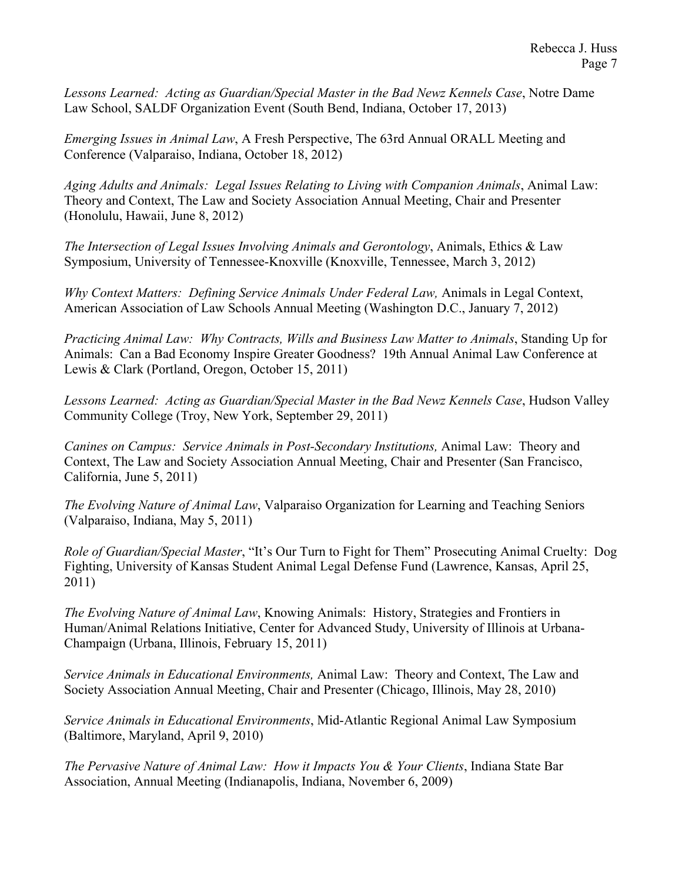*Lessons Learned: Acting as Guardian/Special Master in the Bad Newz Kennels Case*, Notre Dame Law School, SALDF Organization Event (South Bend, Indiana, October 17, 2013)

*Emerging Issues in Animal Law*, A Fresh Perspective, The 63rd Annual ORALL Meeting and Conference (Valparaiso, Indiana, October 18, 2012)

*Aging Adults and Animals: Legal Issues Relating to Living with Companion Animals*, Animal Law: Theory and Context, The Law and Society Association Annual Meeting, Chair and Presenter (Honolulu, Hawaii, June 8, 2012)

*The Intersection of Legal Issues Involving Animals and Gerontology*, Animals, Ethics & Law Symposium, University of Tennessee-Knoxville (Knoxville, Tennessee, March 3, 2012)

*Why Context Matters: Defining Service Animals Under Federal Law,* Animals in Legal Context, American Association of Law Schools Annual Meeting (Washington D.C., January 7, 2012)

*Practicing Animal Law: Why Contracts, Wills and Business Law Matter to Animals*, Standing Up for Animals: Can a Bad Economy Inspire Greater Goodness? 19th Annual Animal Law Conference at Lewis & Clark (Portland, Oregon, October 15, 2011)

*Lessons Learned: Acting as Guardian/Special Master in the Bad Newz Kennels Case*, Hudson Valley Community College (Troy, New York, September 29, 2011)

*Canines on Campus: Service Animals in Post-Secondary Institutions, Animal Law: Theory and* Context, The Law and Society Association Annual Meeting, Chair and Presenter (San Francisco, California, June 5, 2011)

*The Evolving Nature of Animal Law*, Valparaiso Organization for Learning and Teaching Seniors (Valparaiso, Indiana, May 5, 2011)

*Role of Guardian/Special Master*, "It's Our Turn to Fight for Them" Prosecuting Animal Cruelty: Dog Fighting, University of Kansas Student Animal Legal Defense Fund (Lawrence, Kansas, April 25, 2011)

*The Evolving Nature of Animal Law*, Knowing Animals: History, Strategies and Frontiers in Human/Animal Relations Initiative, Center for Advanced Study, University of Illinois at Urbana-Champaign (Urbana, Illinois, February 15, 2011)

*Service Animals in Educational Environments,* Animal Law: Theory and Context, The Law and Society Association Annual Meeting, Chair and Presenter (Chicago, Illinois, May 28, 2010)

*Service Animals in Educational Environments*, Mid-Atlantic Regional Animal Law Symposium (Baltimore, Maryland, April 9, 2010)

*The Pervasive Nature of Animal Law: How it Impacts You & Your Clients*, Indiana State Bar Association, Annual Meeting (Indianapolis, Indiana, November 6, 2009)